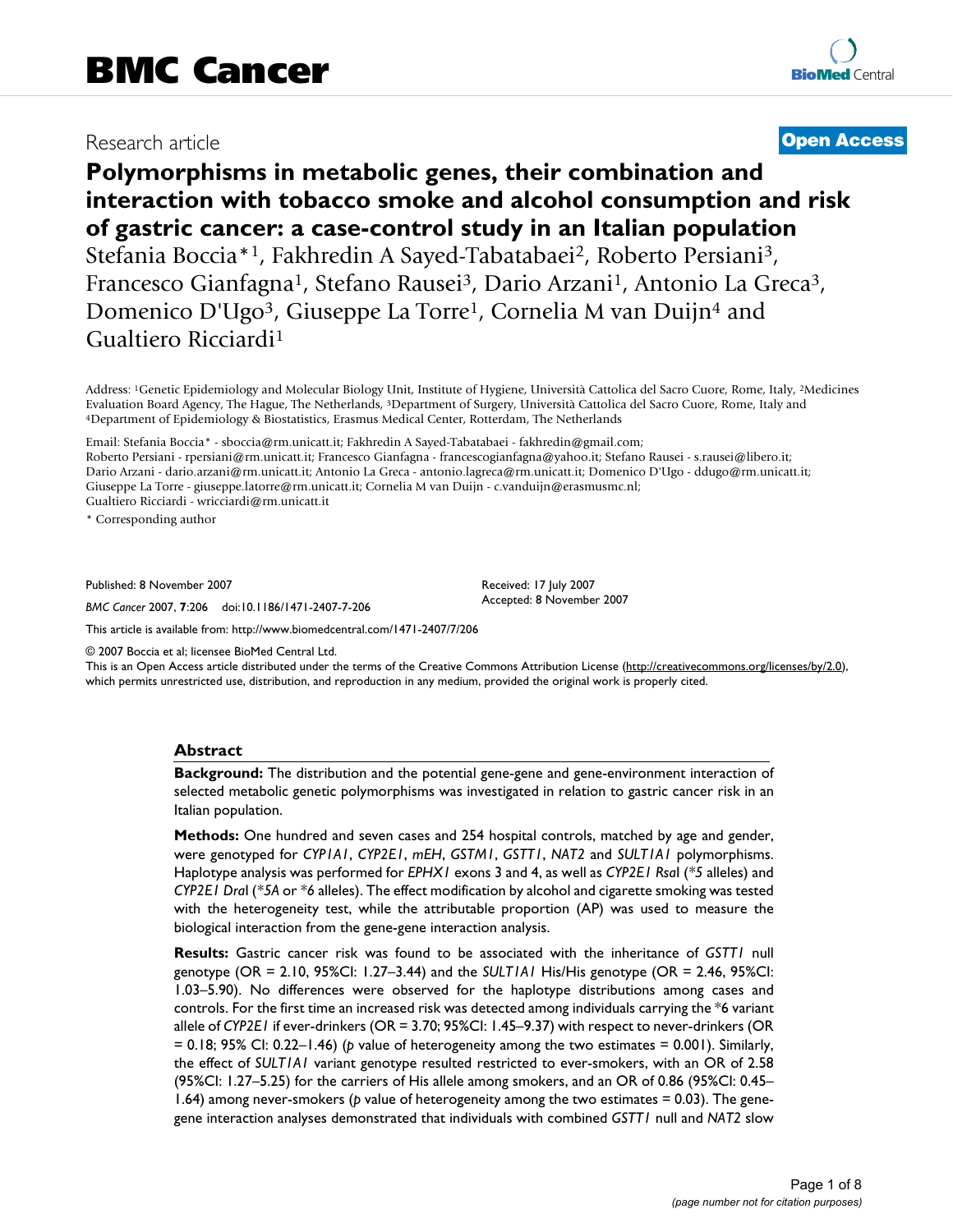# Research article **[Open Access](http://www.biomedcentral.com/info/about/charter/)**

# **Polymorphisms in metabolic genes, their combination and interaction with tobacco smoke and alcohol consumption and risk of gastric cancer: a case-control study in an Italian population** Stefania Boccia\*1, Fakhredin A Sayed-Tabatabaei2, Roberto Persiani3, Francesco Gianfagna<sup>1</sup>, Stefano Rausei<sup>3</sup>, Dario Arzani<sup>1</sup>, Antonio La Greca<sup>3</sup>, Domenico D'Ugo3, Giuseppe La Torre1, Cornelia M van Duijn4 and Gualtiero Ricciardi1

Address: 1Genetic Epidemiology and Molecular Biology Unit, Institute of Hygiene, Università Cattolica del Sacro Cuore, Rome, Italy, 2Medicines Evaluation Board Agency, The Hague, The Netherlands, <sup>3</sup>Department of Surgery, Università Cattolica del Sacro Cuore, Rome, Italy and 4Department of Epidemiology & Biostatistics, Erasmus Medical Center, Rotterdam, The Nethe

Email: Stefania Boccia\* - sboccia@rm.unicatt.it; Fakhredin A Sayed-Tabatabaei - fakhredin@gmail.com;

Roberto Persiani - rpersiani@rm.unicatt.it; Francesco Gianfagna - francescogianfagna@yahoo.it; Stefano Rausei - s.rausei@libero.it; Dario Arzani - dario.arzani@rm.unicatt.it; Antonio La Greca - antonio.lagreca@rm.unicatt.it; Domenico D'Ugo - ddugo@rm.unicatt.it; Giuseppe La Torre - giuseppe.latorre@rm.unicatt.it; Cornelia M van Duijn - c.vanduijn@erasmusmc.nl; Gualtiero Ricciardi - wricciardi@rm.unicatt.it

\* Corresponding author

Published: 8 November 2007

*BMC Cancer* 2007, **7**:206 doi:10.1186/1471-2407-7-206

[This article is available from: http://www.biomedcentral.com/1471-2407/7/206](http://www.biomedcentral.com/1471-2407/7/206)

© 2007 Boccia et al; licensee BioMed Central Ltd.

This is an Open Access article distributed under the terms of the Creative Commons Attribution License [\(http://creativecommons.org/licenses/by/2.0\)](http://creativecommons.org/licenses/by/2.0), which permits unrestricted use, distribution, and reproduction in any medium, provided the original work is properly cited.

Received: 17 July 2007 Accepted: 8 November 2007

#### **Abstract**

**Background:** The distribution and the potential gene-gene and gene-environment interaction of selected metabolic genetic polymorphisms was investigated in relation to gastric cancer risk in an Italian population.

**Methods:** One hundred and seven cases and 254 hospital controls, matched by age and gender, were genotyped for *CYP1A1*, *CYP2E1*, *mEH*, *GSTM1*, *GSTT1*, *NAT2* and *SULT1A1* polymorphisms. Haplotype analysis was performed for *EPHX1* exons 3 and 4, as well as *CYP2E1 Rsa*I (*\*5* alleles) and *CYP2E1 Dra*I (*\*5A* or *\*6* alleles). The effect modification by alcohol and cigarette smoking was tested with the heterogeneity test, while the attributable proportion (AP) was used to measure the biological interaction from the gene-gene interaction analysis.

**Results:** Gastric cancer risk was found to be associated with the inheritance of *GSTT1* null genotype (OR = 2.10, 95%CI: 1.27–3.44) and the *SULT1A1* His/His genotype (OR = 2.46, 95%CI: 1.03–5.90). No differences were observed for the haplotype distributions among cases and controls. For the first time an increased risk was detected among individuals carrying the \*6 variant allele of *CYP2E1* if ever-drinkers (OR = 3.70; 95%CI: 1.45–9.37) with respect to never-drinkers (OR = 0.18; 95% CI: 0.22–1.46) (*p* value of heterogeneity among the two estimates = 0.001). Similarly, the effect of *SULT1A1* variant genotype resulted restricted to ever-smokers, with an OR of 2.58 (95%CI: 1.27–5.25) for the carriers of His allele among smokers, and an OR of 0.86 (95%CI: 0.45– 1.64) among never-smokers (*p* value of heterogeneity among the two estimates = 0.03). The genegene interaction analyses demonstrated that individuals with combined *GSTT1* null and *NAT2* slow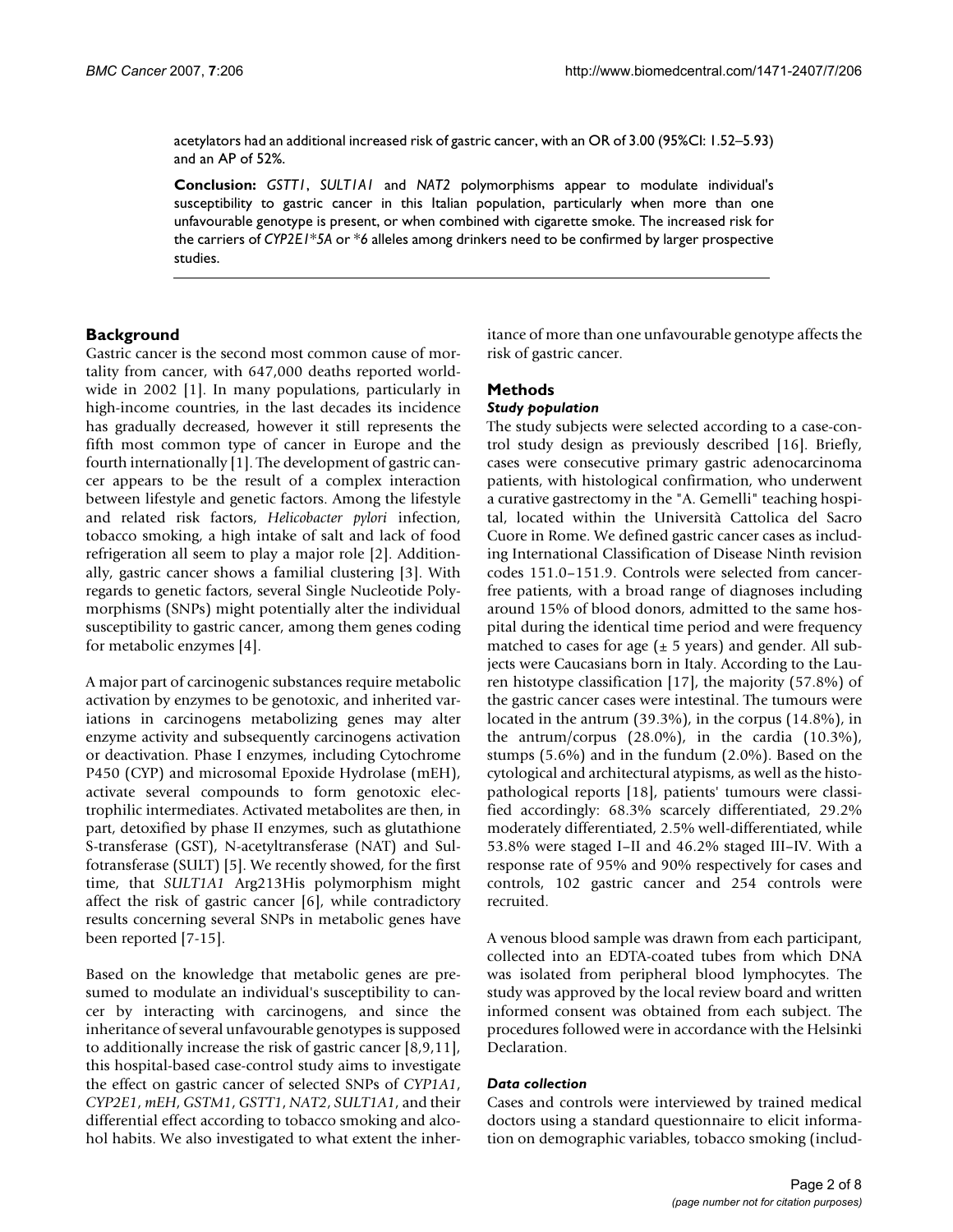acetylators had an additional increased risk of gastric cancer, with an OR of 3.00 (95%CI: 1.52–5.93) and an AP of 52%.

**Conclusion:** *GSTT1*, *SULT1A1* and *NAT2* polymorphisms appear to modulate individual's susceptibility to gastric cancer in this Italian population, particularly when more than one unfavourable genotype is present, or when combined with cigarette smoke. The increased risk for the carriers of *CYP2E1*\**5A* or \**6* alleles among drinkers need to be confirmed by larger prospective studies.

# **Background**

Gastric cancer is the second most common cause of mortality from cancer, with 647,000 deaths reported worldwide in 2002 [1]. In many populations, particularly in high-income countries, in the last decades its incidence has gradually decreased, however it still represents the fifth most common type of cancer in Europe and the fourth internationally [1]. The development of gastric cancer appears to be the result of a complex interaction between lifestyle and genetic factors. Among the lifestyle and related risk factors, *Helicobacter pylori* infection, tobacco smoking, a high intake of salt and lack of food refrigeration all seem to play a major role [2]. Additionally, gastric cancer shows a familial clustering [3]. With regards to genetic factors, several Single Nucleotide Polymorphisms (SNPs) might potentially alter the individual susceptibility to gastric cancer, among them genes coding for metabolic enzymes [4].

A major part of carcinogenic substances require metabolic activation by enzymes to be genotoxic, and inherited variations in carcinogens metabolizing genes may alter enzyme activity and subsequently carcinogens activation or deactivation. Phase I enzymes, including Cytochrome P450 (CYP) and microsomal Epoxide Hydrolase (mEH), activate several compounds to form genotoxic electrophilic intermediates. Activated metabolites are then, in part, detoxified by phase II enzymes, such as glutathione S-transferase (GST), N-acetyltransferase (NAT) and Sulfotransferase (SULT) [5]. We recently showed, for the first time, that *SULT1A1* Arg213His polymorphism might affect the risk of gastric cancer [6], while contradictory results concerning several SNPs in metabolic genes have been reported [7-15].

Based on the knowledge that metabolic genes are presumed to modulate an individual's susceptibility to cancer by interacting with carcinogens, and since the inheritance of several unfavourable genotypes is supposed to additionally increase the risk of gastric cancer [8,9,11], this hospital-based case-control study aims to investigate the effect on gastric cancer of selected SNPs of *CYP1A1*, *CYP2E1*, *mEH*, *GSTM1*, *GSTT1*, *NAT2*, *SULT1A1*, and their differential effect according to tobacco smoking and alcohol habits. We also investigated to what extent the inheritance of more than one unfavourable genotype affects the risk of gastric cancer.

# **Methods**

# *Study population*

The study subjects were selected according to a case-control study design as previously described [16]. Briefly, cases were consecutive primary gastric adenocarcinoma patients, with histological confirmation, who underwent a curative gastrectomy in the "A. Gemelli" teaching hospital, located within the Università Cattolica del Sacro Cuore in Rome. We defined gastric cancer cases as including International Classification of Disease Ninth revision codes 151.0–151.9. Controls were selected from cancerfree patients, with a broad range of diagnoses including around 15% of blood donors, admitted to the same hospital during the identical time period and were frequency matched to cases for age  $(\pm 5 \text{ years})$  and gender. All subjects were Caucasians born in Italy. According to the Lauren histotype classification [17], the majority (57.8%) of the gastric cancer cases were intestinal. The tumours were located in the antrum (39.3%), in the corpus (14.8%), in the antrum/corpus (28.0%), in the cardia (10.3%), stumps (5.6%) and in the fundum (2.0%). Based on the cytological and architectural atypisms, as well as the histopathological reports [18], patients' tumours were classified accordingly: 68.3% scarcely differentiated, 29.2% moderately differentiated, 2.5% well-differentiated, while 53.8% were staged I–II and 46.2% staged III–IV. With a response rate of 95% and 90% respectively for cases and controls, 102 gastric cancer and 254 controls were recruited.

A venous blood sample was drawn from each participant, collected into an EDTA-coated tubes from which DNA was isolated from peripheral blood lymphocytes. The study was approved by the local review board and written informed consent was obtained from each subject. The procedures followed were in accordance with the Helsinki Declaration.

#### *Data collection*

Cases and controls were interviewed by trained medical doctors using a standard questionnaire to elicit information on demographic variables, tobacco smoking (includ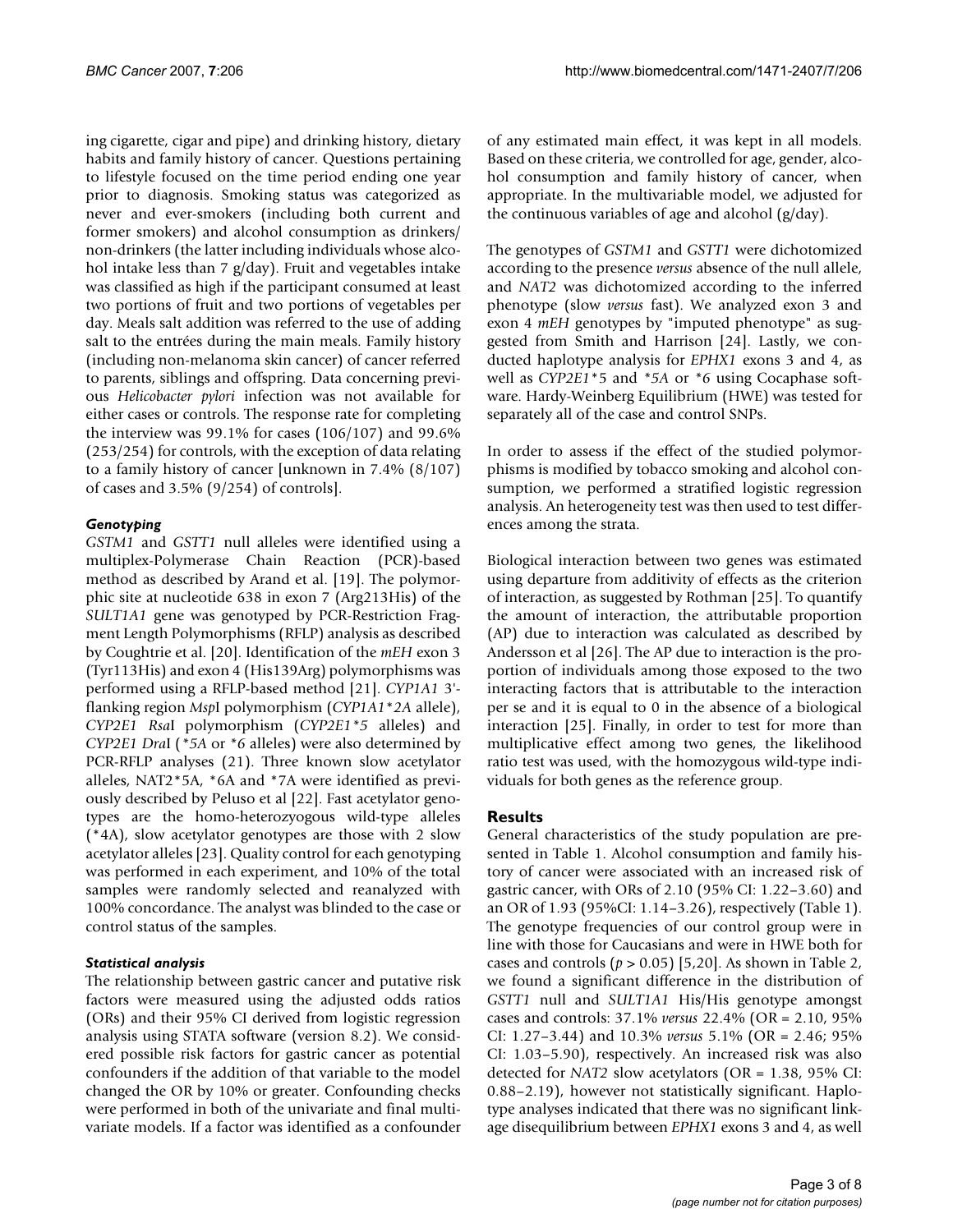ing cigarette, cigar and pipe) and drinking history, dietary habits and family history of cancer. Questions pertaining to lifestyle focused on the time period ending one year prior to diagnosis. Smoking status was categorized as never and ever-smokers (including both current and former smokers) and alcohol consumption as drinkers/ non-drinkers (the latter including individuals whose alcohol intake less than 7 g/day). Fruit and vegetables intake was classified as high if the participant consumed at least two portions of fruit and two portions of vegetables per day. Meals salt addition was referred to the use of adding salt to the entrées during the main meals. Family history (including non-melanoma skin cancer) of cancer referred to parents, siblings and offspring. Data concerning previous *Helicobacter pylori* infection was not available for either cases or controls. The response rate for completing the interview was 99.1% for cases (106/107) and 99.6% (253/254) for controls, with the exception of data relating to a family history of cancer [unknown in 7.4% (8/107) of cases and 3.5% (9/254) of controls].

# *Genotyping*

*GSTM1* and *GSTT1* null alleles were identified using a multiplex-Polymerase Chain Reaction (PCR)-based method as described by Arand et al. [19]. The polymorphic site at nucleotide 638 in exon 7 (Arg213His) of the *SULT1A1* gene was genotyped by PCR-Restriction Fragment Length Polymorphisms (RFLP) analysis as described by Coughtrie et al. [20]. Identification of the *mEH* exon 3 (Tyr113His) and exon 4 (His139Arg) polymorphisms was performed using a RFLP-based method [21]. *CYP1A1* 3' flanking region *Msp*I polymorphism (*CYP1A1*\**2A* allele), *CYP2E1 Rsa*I polymorphism (*CYP2E1\*5* alleles) and *CYP2E1 Dra*I (*\*5A* or *\*6* alleles) were also determined by PCR-RFLP analyses (21). Three known slow acetylator alleles, NAT2\*5A, \*6A and \*7A were identified as previously described by Peluso et al [22]. Fast acetylator genotypes are the homo-heterozyogous wild-type alleles (\*4A), slow acetylator genotypes are those with 2 slow acetylator alleles [23]. Quality control for each genotyping was performed in each experiment, and 10% of the total samples were randomly selected and reanalyzed with 100% concordance. The analyst was blinded to the case or control status of the samples.

# *Statistical analysis*

The relationship between gastric cancer and putative risk factors were measured using the adjusted odds ratios (ORs) and their 95% CI derived from logistic regression analysis using STATA software (version 8.2). We considered possible risk factors for gastric cancer as potential confounders if the addition of that variable to the model changed the OR by 10% or greater. Confounding checks were performed in both of the univariate and final multivariate models. If a factor was identified as a confounder of any estimated main effect, it was kept in all models. Based on these criteria, we controlled for age, gender, alcohol consumption and family history of cancer, when appropriate. In the multivariable model, we adjusted for the continuous variables of age and alcohol (g/day).

The genotypes of *GSTM1* and *GSTT1* were dichotomized according to the presence *versus* absence of the null allele, and *NAT2* was dichotomized according to the inferred phenotype (slow *versus* fast). We analyzed exon 3 and exon 4 *mEH* genotypes by "imputed phenotype" as suggested from Smith and Harrison [24]. Lastly, we conducted haplotype analysis for *EPHX1* exons 3 and 4, as well as *CYP2E1*\*5 and *\*5A* or *\*6* using Cocaphase software. Hardy-Weinberg Equilibrium (HWE) was tested for separately all of the case and control SNPs.

In order to assess if the effect of the studied polymorphisms is modified by tobacco smoking and alcohol consumption, we performed a stratified logistic regression analysis. An heterogeneity test was then used to test differences among the strata.

Biological interaction between two genes was estimated using departure from additivity of effects as the criterion of interaction, as suggested by Rothman [25]. To quantify the amount of interaction, the attributable proportion (AP) due to interaction was calculated as described by Andersson et al [26]. The AP due to interaction is the proportion of individuals among those exposed to the two interacting factors that is attributable to the interaction per se and it is equal to 0 in the absence of a biological interaction [25]. Finally, in order to test for more than multiplicative effect among two genes, the likelihood ratio test was used, with the homozygous wild-type individuals for both genes as the reference group.

# **Results**

General characteristics of the study population are presented in Table 1. Alcohol consumption and family history of cancer were associated with an increased risk of gastric cancer, with ORs of 2.10 (95% CI: 1.22–3.60) and an OR of 1.93 (95%CI: 1.14–3.26), respectively (Table 1). The genotype frequencies of our control group were in line with those for Caucasians and were in HWE both for cases and controls (*p* > 0.05) [5,20]. As shown in Table 2, we found a significant difference in the distribution of *GSTT1* null and *SULT1A1* His/His genotype amongst cases and controls: 37.1% *versus* 22.4% (OR = 2.10, 95% CI: 1.27–3.44) and 10.3% *versus* 5.1% (OR = 2.46; 95% CI: 1.03–5.90), respectively. An increased risk was also detected for *NAT2* slow acetylators (OR = 1.38, 95% CI: 0.88–2.19), however not statistically significant. Haplotype analyses indicated that there was no significant linkage disequilibrium between *EPHX1* exons 3 and 4, as well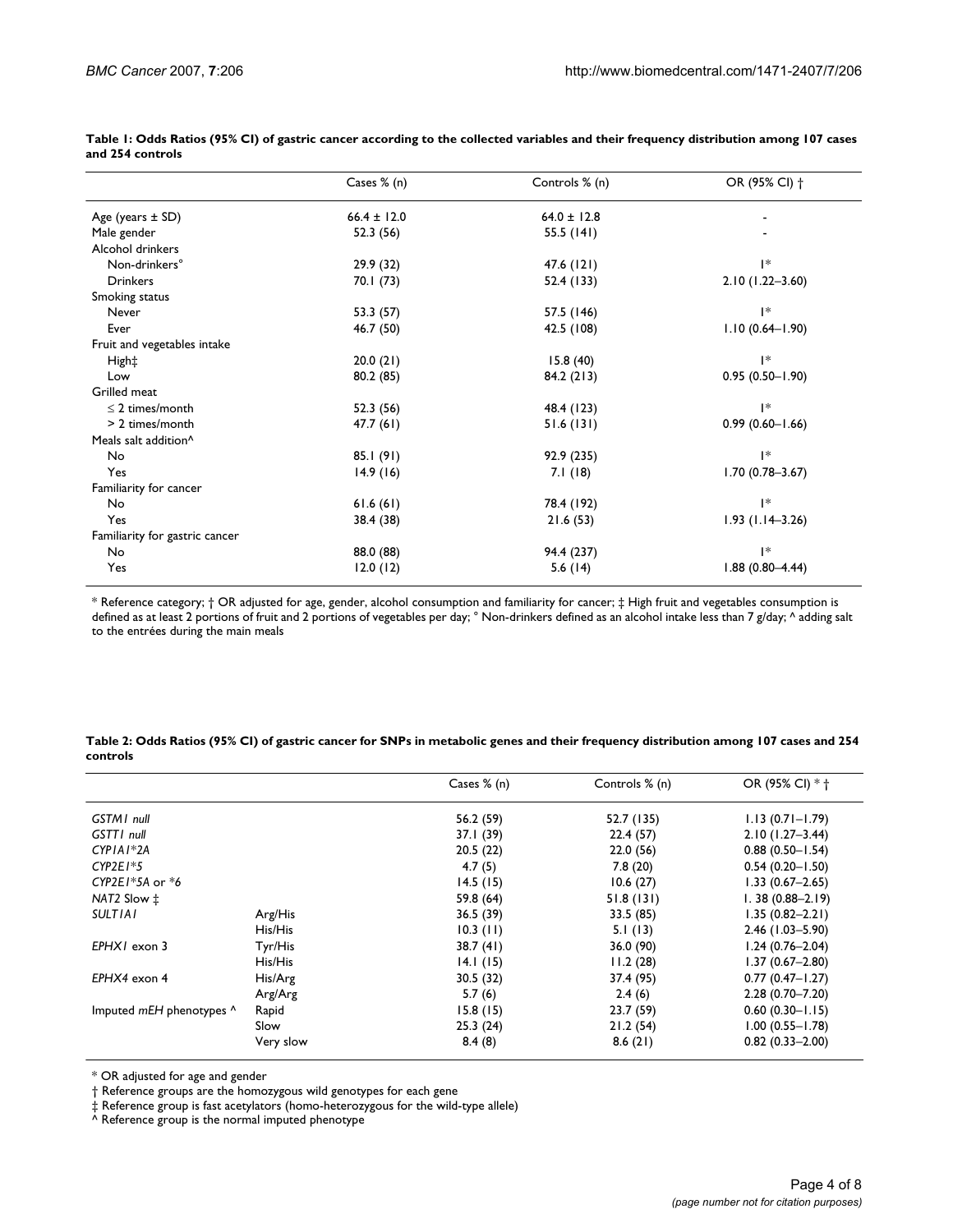|                                  | Cases $% (n)$   | Controls % (n)  | OR (95% CI) +       |
|----------------------------------|-----------------|-----------------|---------------------|
| Age (years $\pm$ SD)             | $66.4 \pm 12.0$ | $64.0 \pm 12.8$ |                     |
| Male gender                      | 52.3 (56)       | 55.5 $(141)$    |                     |
| Alcohol drinkers                 |                 |                 |                     |
| Non-drinkers°                    | 29.9 (32)       | 47.6 (121)      | $\mathsf{I}^*$      |
| <b>Drinkers</b>                  | 70.I (73)       | 52.4 (133)      | $2.10(1.22 - 3.60)$ |
| Smoking status                   |                 |                 |                     |
| Never                            | 53.3 (57)       | 57.5 (146)      | $\mathsf{I}^*$      |
| Ever                             | 46.7 (50)       | 42.5 (108)      | $1.10(0.64 - 1.90)$ |
| Fruit and vegetables intake      |                 |                 |                     |
| High‡                            | 20.0(21)        | 15.8(40)        | $\mathsf{I}^*$      |
| Low                              | 80.2 (85)       | 84.2 (213)      | $0.95(0.50 - 1.90)$ |
| Grilled meat                     |                 |                 |                     |
| $\leq$ 2 times/month             | 52.3 (56)       | 48.4 (123)      | $\mathsf{I}^*$      |
| $> 2$ times/month                | 47.7(61)        | 51.6(131)       | $0.99(0.60 - 1.66)$ |
| Meals salt addition <sup>^</sup> |                 |                 |                     |
| No                               | 85.1 (91)       | 92.9 (235)      | $\mathsf{I}^*$      |
| Yes                              | 14.9(16)        | 7.1(18)         | $1.70(0.78 - 3.67)$ |
| Familiarity for cancer           |                 |                 |                     |
| No                               | 61.6(61)        | 78.4 (192)      | $\mathsf{I}^*$      |
| Yes                              | 38.4 (38)       | 21.6(53)        | $1.93(1.14 - 3.26)$ |
| Familiarity for gastric cancer   |                 |                 |                     |
| No                               | 88.0 (88)       | 94.4 (237)      | $\mathsf{I}^*$      |
| Yes                              | 12.0(12)        | 5.6 $(14)$      | $1.88(0.80 - 4.44)$ |

**Table 1: Odds Ratios (95% CI) of gastric cancer according to the collected variables and their frequency distribution among 107 cases and 254 controls**

\* Reference category; † OR adjusted for age, gender, alcohol consumption and familiarity for cancer; ‡ High fruit and vegetables consumption is defined as at least 2 portions of fruit and 2 portions of vegetables per day; ° Non-drinkers defined as an alcohol intake less than 7 g/day; ^ adding salt to the entrées during the main meals

#### **Table 2: Odds Ratios (95% CI) of gastric cancer for SNPs in metabolic genes and their frequency distribution among 107 cases and 254 controls**

|                          |           | Cases $% (n)$ | Controls % (n) | OR (95% CI) * +     |
|--------------------------|-----------|---------------|----------------|---------------------|
| <b>GSTMI</b> null        |           | 56.2 (59)     | 52.7 (135)     | $1.13(0.71 - 1.79)$ |
| GSTT1 null               |           | 37.I (39)     | 22.4(57)       | $2.10(1.27 - 3.44)$ |
| $CYPIAI*2A$              |           | 20.5(22)      | 22.0(56)       | $0.88(0.50 - 1.54)$ |
| $CYP2E1*5$               |           | 4.7(5)        | 7.8(20)        | $0.54(0.20 - 1.50)$ |
| CYP2E1 $*5A$ or $*6$     |           | 14.5(15)      | 10.6(27)       | $1.33(0.67 - 2.65)$ |
| NAT2 Slow ±              |           | 59.8 (64)     | 51.8(131)      | $1.38(0.88 - 2.19)$ |
| <b>SULTIAI</b>           | Arg/His   | 36.5(39)      | 33.5 (85)      | $1.35(0.82 - 2.21)$ |
|                          | His/His   | $10.3$ (11)   | 5.1(13)        | $2.46(1.03 - 5.90)$ |
| $EPHXI$ exon 3           | Tyr/His   | 38.7(41)      | 36.0 (90)      | $1.24(0.76 - 2.04)$ |
|                          | His/His   | 14.1(15)      | 11.2(28)       | $1.37(0.67 - 2.80)$ |
| $EPHX4$ exon 4           | His/Arg   | 30.5(32)      | 37.4 (95)      | $0.77(0.47 - 1.27)$ |
|                          | Arg/Arg   | 5.7(6)        | 2.4(6)         | $2.28(0.70 - 7.20)$ |
| Imputed mEH phenotypes ^ | Rapid     | 15.8(15)      | 23.7(59)       | $0.60(0.30 - 1.15)$ |
|                          | Slow      | 25.3(24)      | 21.2(54)       | $1.00(0.55 - 1.78)$ |
|                          | Very slow | 8.4(8)        | 8.6(21)        | $0.82(0.33 - 2.00)$ |

\* OR adjusted for age and gender

† Reference groups are the homozygous wild genotypes for each gene

‡ Reference group is fast acetylators (homo-heterozygous for the wild-type allele)

^ Reference group is the normal imputed phenotype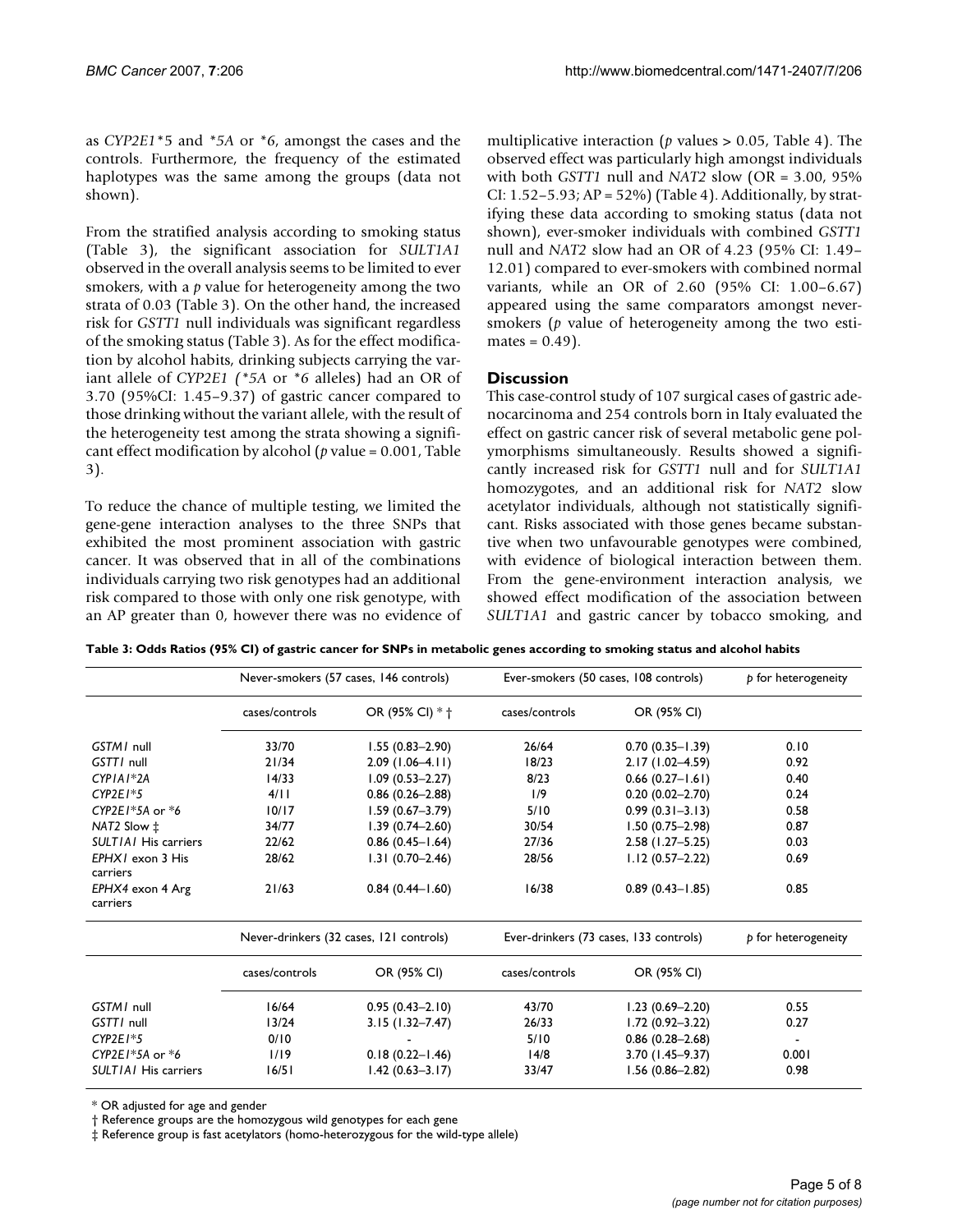as *CYP2E1*\*5 and *\*5A* or *\*6*, amongst the cases and the controls. Furthermore, the frequency of the estimated haplotypes was the same among the groups (data not shown).

From the stratified analysis according to smoking status (Table 3), the significant association for *SULT1A1* observed in the overall analysis seems to be limited to ever smokers, with a *p* value for heterogeneity among the two strata of 0.03 (Table 3). On the other hand, the increased risk for *GSTT1* null individuals was significant regardless of the smoking status (Table 3). As for the effect modification by alcohol habits, drinking subjects carrying the variant allele of *CYP2E1 (\*5A* or *\*6* alleles) had an OR of 3.70 (95%CI: 1.45–9.37) of gastric cancer compared to those drinking without the variant allele, with the result of the heterogeneity test among the strata showing a significant effect modification by alcohol (*p* value = 0.001, Table 3).

To reduce the chance of multiple testing, we limited the gene-gene interaction analyses to the three SNPs that exhibited the most prominent association with gastric cancer. It was observed that in all of the combinations individuals carrying two risk genotypes had an additional risk compared to those with only one risk genotype, with an AP greater than 0, however there was no evidence of multiplicative interaction (*p* values > 0.05, Table 4). The observed effect was particularly high amongst individuals with both *GSTT1* null and *NAT2* slow (OR = 3.00, 95% CI: 1.52–5.93; AP = 52%) (Table 4). Additionally, by stratifying these data according to smoking status (data not shown), ever-smoker individuals with combined *GSTT1* null and *NAT2* slow had an OR of 4.23 (95% CI: 1.49– 12.01) compared to ever-smokers with combined normal variants, while an OR of 2.60 (95% CI: 1.00–6.67) appeared using the same comparators amongst neversmokers (*p* value of heterogeneity among the two estimates  $= 0.49$ ).

# **Discussion**

This case-control study of 107 surgical cases of gastric adenocarcinoma and 254 controls born in Italy evaluated the effect on gastric cancer risk of several metabolic gene polymorphisms simultaneously. Results showed a significantly increased risk for *GSTT1* null and for *SULT1A1* homozygotes, and an additional risk for *NAT2* slow acetylator individuals, although not statistically significant. Risks associated with those genes became substantive when two unfavourable genotypes were combined, with evidence of biological interaction between them. From the gene-environment interaction analysis, we showed effect modification of the association between *SULT1A1* and gastric cancer by tobacco smoking, and

**Table 3: Odds Ratios (95% CI) of gastric cancer for SNPs in metabolic genes according to smoking status and alcohol habits**

|                              | Never-smokers (57 cases, 146 controls) |                                         |                | Ever-smokers (50 cases, 108 controls)  |                     |
|------------------------------|----------------------------------------|-----------------------------------------|----------------|----------------------------------------|---------------------|
|                              | cases/controls                         | OR (95% CI) * +                         | cases/controls | OR (95% CI)                            |                     |
| GSTM1 null                   | 33/70                                  | $1.55(0.83 - 2.90)$                     | 26/64          | $0.70(0.35 - 1.39)$                    | 0.10                |
| GSTT/ null                   | 21/34                                  | $2.09(1.06-4.11)$                       | 18/23          | $2.17(1.02 - 4.59)$                    | 0.92                |
| $CYPIA1*2A$                  | 14/33                                  | $1.09(0.53 - 2.27)$                     | 8/23           | $0.66(0.27 - 1.61)$                    | 0.40                |
| $CYP2E1*5$                   | 4/11                                   | $0.86(0.26 - 2.88)$                     | 1/9            | $0.20(0.02 - 2.70)$                    | 0.24                |
| CYP2E1 $*5A$ or $*6$         | 10/17                                  | $1.59(0.67 - 3.79)$                     | 5/10           | $0.99(0.31 - 3.13)$                    | 0.58                |
| NAT2 Slow ‡                  | 34/77                                  | $1.39(0.74 - 2.60)$                     | 30/54          | $1.50(0.75 - 2.98)$                    | 0.87                |
| <b>SULTIAI</b> His carriers  | 22/62                                  | $0.86$ $(0.45 - 1.64)$                  | 27/36          | $2.58$ (1.27-5.25)                     | 0.03                |
| EPHX1 exon 3 His<br>carriers | 28/62                                  | $1.31(0.70-2.46)$                       | 28/56          | $1.12(0.57 - 2.22)$                    | 0.69                |
| EPHX4 exon 4 Arg<br>carriers | 21/63                                  | $0.84(0.44 - 1.60)$                     | 16/38          | $0.89(0.43 - 1.85)$                    | 0.85                |
|                              |                                        | Never-drinkers (32 cases, 121 controls) |                | Ever-drinkers (73 cases, 133 controls) | p for heterogeneity |
|                              | cases/controls                         | OR (95% CI)                             | cases/controls | OR (95% CI)                            |                     |
| GSTM1 null                   | 16/64                                  | $0.95(0.43 - 2.10)$                     | 43/70          | $1.23(0.69 - 2.20)$                    | 0.55                |
| GSTT/ null                   | 13/24                                  | $3.15(1.32 - 7.47)$                     | 26/33          | $1.72(0.92 - 3.22)$                    | 0.27                |
| $CYP2E1*5$                   | 0/10                                   |                                         | 5/10           | $0.86(0.28 - 2.68)$                    | $\blacksquare$      |
| CYP2E1 $*5A$ or $*6$         | 1/19                                   | $0.18(0.22 - 1.46)$                     | 14/8           | $3.70(1.45 - 9.37)$                    | 0.001               |
| <b>SULTIAI</b> His carriers  | 16/51                                  | $1.42(0.63 - 3.17)$                     | 33/47          | $1.56(0.86 - 2.82)$                    | 0.98                |

\* OR adjusted for age and gender

† Reference groups are the homozygous wild genotypes for each gene

‡ Reference group is fast acetylators (homo-heterozygous for the wild-type allele)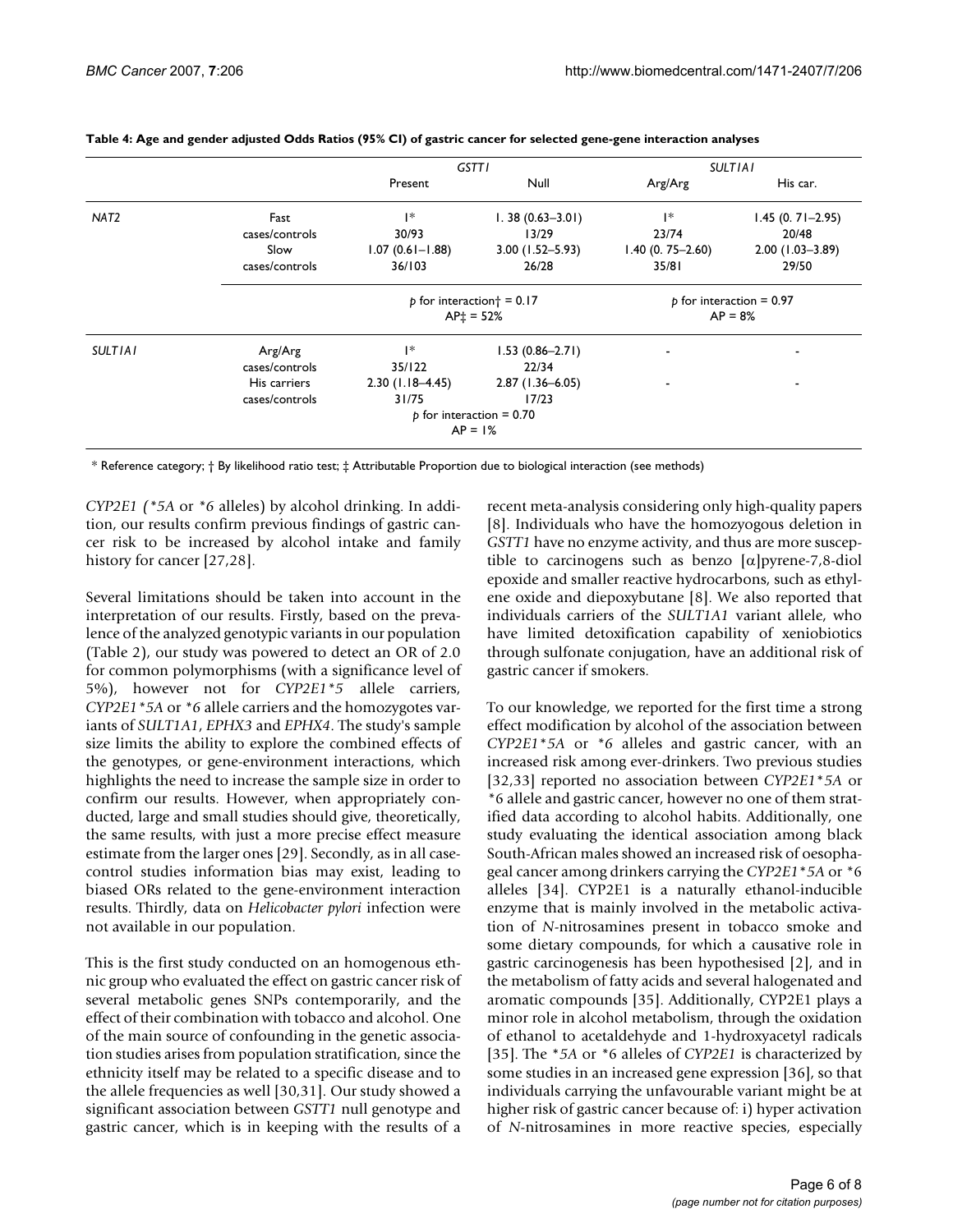|                  |                | <b>GSTTI</b>                         |                            | <b>SULTIAI</b>             |                     |
|------------------|----------------|--------------------------------------|----------------------------|----------------------------|---------------------|
|                  |                | Present                              | Null                       | Arg/Arg                    | His car.            |
| NAT <sub>2</sub> | Fast           | *                                    | $1.38(0.63 - 3.01)$        | $\mathsf{I}^*$             | $1.45(0.71 - 2.95)$ |
|                  | cases/controls | 30/93                                | 13/29                      | 23/74                      | 20/48               |
|                  | Slow           | $1.07(0.61 - 1.88)$                  | $3.00(1.52 - 5.93)$        | $1.40(0.75 - 2.60)$        | $2.00(1.03 - 3.89)$ |
|                  | cases/controls | 36/103                               | 26/28                      | 35/81                      | 29/50               |
|                  |                | $p$ for interaction $\dagger$ = 0.17 |                            | $p$ for interaction = 0.97 |                     |
|                  |                | $AP_1 = 52%$                         |                            | $AP = 8%$                  |                     |
| <b>SULTIAI</b>   | Arg/Arg        | 1*                                   | $1.53(0.86 - 2.71)$        |                            |                     |
|                  | cases/controls | 35/122                               | 22/34                      |                            |                     |
|                  | His carriers   | $2.30(1.18 - 4.45)$                  | $2.87(1.36 - 6.05)$        |                            | ۰                   |
|                  | cases/controls | 31/75                                | 17/23                      |                            |                     |
|                  |                |                                      | $p$ for interaction = 0.70 |                            |                     |
|                  |                |                                      | $AP = 1%$                  |                            |                     |

#### **Table 4: Age and gender adjusted Odds Ratios (95% CI) of gastric cancer for selected gene-gene interaction analyses**

\* Reference category; † By likelihood ratio test; ‡ Attributable Proportion due to biological interaction (see methods)

*CYP2E1 (\*5A* or *\*6* alleles) by alcohol drinking. In addition, our results confirm previous findings of gastric cancer risk to be increased by alcohol intake and family history for cancer [27,28].

Several limitations should be taken into account in the interpretation of our results. Firstly, based on the prevalence of the analyzed genotypic variants in our population (Table 2), our study was powered to detect an OR of 2.0 for common polymorphisms (with a significance level of 5%), however not for *CYP2E1\*5* allele carriers, *CYP2E1\*5A* or *\*6* allele carriers and the homozygotes variants of *SULT1A1*, *EPHX3* and *EPHX4*. The study's sample size limits the ability to explore the combined effects of the genotypes, or gene-environment interactions, which highlights the need to increase the sample size in order to confirm our results. However, when appropriately conducted, large and small studies should give, theoretically, the same results, with just a more precise effect measure estimate from the larger ones [29]. Secondly, as in all casecontrol studies information bias may exist, leading to biased ORs related to the gene-environment interaction results. Thirdly, data on *Helicobacter pylori* infection were not available in our population.

This is the first study conducted on an homogenous ethnic group who evaluated the effect on gastric cancer risk of several metabolic genes SNPs contemporarily, and the effect of their combination with tobacco and alcohol. One of the main source of confounding in the genetic association studies arises from population stratification, since the ethnicity itself may be related to a specific disease and to the allele frequencies as well [30,31]. Our study showed a significant association between *GSTT1* null genotype and gastric cancer, which is in keeping with the results of a

recent meta-analysis considering only high-quality papers [8]. Individuals who have the homozyogous deletion in *GSTT1* have no enzyme activity, and thus are more susceptible to carcinogens such as benzo [α]pyrene-7,8-diol epoxide and smaller reactive hydrocarbons, such as ethylene oxide and diepoxybutane [8]. We also reported that individuals carriers of the *SULT1A1* variant allele, who have limited detoxification capability of xeniobiotics through sulfonate conjugation, have an additional risk of gastric cancer if smokers.

To our knowledge, we reported for the first time a strong effect modification by alcohol of the association between *CYP2E1*\**5A* or *\*6* alleles and gastric cancer, with an increased risk among ever-drinkers. Two previous studies [32,33] reported no association between *CYP2E1*\**5A* or *\**6 allele and gastric cancer, however no one of them stratified data according to alcohol habits. Additionally, one study evaluating the identical association among black South-African males showed an increased risk of oesophageal cancer among drinkers carrying the *CYP2E1*\**5A* or *\**6 alleles [34]. CYP2E1 is a naturally ethanol-inducible enzyme that is mainly involved in the metabolic activation of *N*-nitrosamines present in tobacco smoke and some dietary compounds, for which a causative role in gastric carcinogenesis has been hypothesised [2], and in the metabolism of fatty acids and several halogenated and aromatic compounds [35]. Additionally, CYP2E1 plays a minor role in alcohol metabolism, through the oxidation of ethanol to acetaldehyde and 1-hydroxyacetyl radicals [35]. The \**5A* or *\**6 alleles of *CYP2E1* is characterized by some studies in an increased gene expression [36], so that individuals carrying the unfavourable variant might be at higher risk of gastric cancer because of: i) hyper activation of *N*-nitrosamines in more reactive species, especially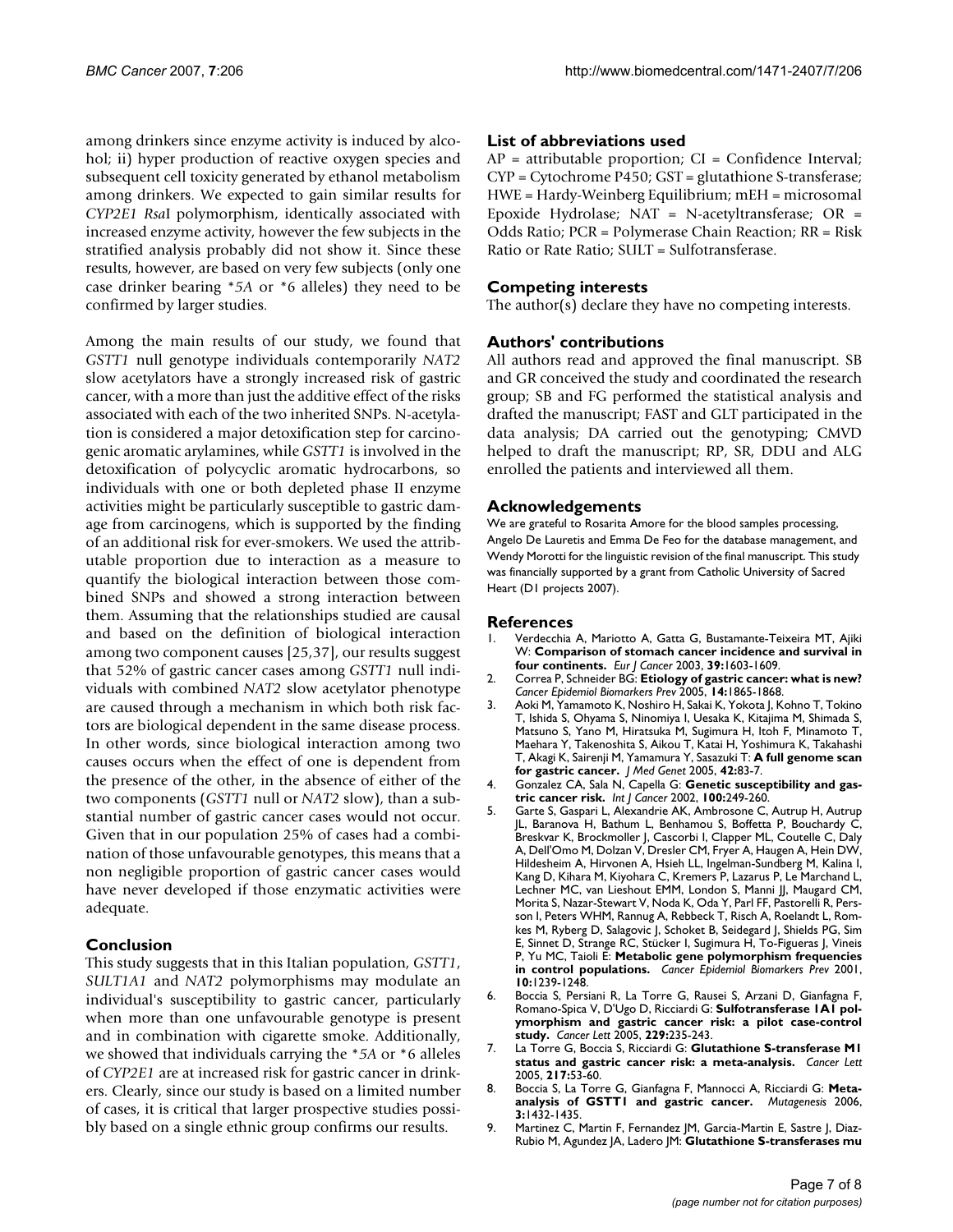among drinkers since enzyme activity is induced by alcohol; ii) hyper production of reactive oxygen species and subsequent cell toxicity generated by ethanol metabolism among drinkers. We expected to gain similar results for *CYP2E1 Rsa*I polymorphism, identically associated with increased enzyme activity, however the few subjects in the stratified analysis probably did not show it. Since these results, however, are based on very few subjects (only one case drinker bearing \**5A* or *\**6 alleles) they need to be confirmed by larger studies.

Among the main results of our study, we found that *GSTT1* null genotype individuals contemporarily *NAT2* slow acetylators have a strongly increased risk of gastric cancer, with a more than just the additive effect of the risks associated with each of the two inherited SNPs. N-acetylation is considered a major detoxification step for carcinogenic aromatic arylamines, while *GSTT1* is involved in the detoxification of polycyclic aromatic hydrocarbons, so individuals with one or both depleted phase II enzyme activities might be particularly susceptible to gastric damage from carcinogens, which is supported by the finding of an additional risk for ever-smokers. We used the attributable proportion due to interaction as a measure to quantify the biological interaction between those combined SNPs and showed a strong interaction between them. Assuming that the relationships studied are causal and based on the definition of biological interaction among two component causes [25,37], our results suggest that 52% of gastric cancer cases among *GSTT1* null individuals with combined *NAT2* slow acetylator phenotype are caused through a mechanism in which both risk factors are biological dependent in the same disease process. In other words, since biological interaction among two causes occurs when the effect of one is dependent from the presence of the other, in the absence of either of the two components (*GSTT1* null or *NAT2* slow), than a substantial number of gastric cancer cases would not occur. Given that in our population 25% of cases had a combination of those unfavourable genotypes, this means that a non negligible proportion of gastric cancer cases would have never developed if those enzymatic activities were adequate.

# **Conclusion**

This study suggests that in this Italian population, *GSTT1*, *SULT1A1* and *NAT2* polymorphisms may modulate an individual's susceptibility to gastric cancer, particularly when more than one unfavourable genotype is present and in combination with cigarette smoke. Additionally, we showed that individuals carrying the \**5A* or \*6 alleles of *CYP2E1* are at increased risk for gastric cancer in drinkers. Clearly, since our study is based on a limited number of cases, it is critical that larger prospective studies possibly based on a single ethnic group confirms our results.

## **List of abbreviations used**

AP = attributable proportion; CI = Confidence Interval; CYP = Cytochrome P450; GST = glutathione S-transferase; HWE = Hardy-Weinberg Equilibrium; mEH = microsomal Epoxide Hydrolase; NAT = N-acetyltransferase; OR = Odds Ratio; PCR = Polymerase Chain Reaction; RR = Risk Ratio or Rate Ratio; SULT = Sulfotransferase.

# **Competing interests**

The author( $\overline{s}$ ) declare they have no competing interests.

# **Authors' contributions**

All authors read and approved the final manuscript. SB and GR conceived the study and coordinated the research group; SB and FG performed the statistical analysis and drafted the manuscript; FAST and GLT participated in the data analysis; DA carried out the genotyping; CMVD helped to draft the manuscript; RP, SR, DDU and ALG enrolled the patients and interviewed all them.

### **Acknowledgements**

We are grateful to Rosarita Amore for the blood samples processing, Angelo De Lauretis and Emma De Feo for the database management, and Wendy Morotti for the linguistic revision of the final manuscript. This study was financially supported by a grant from Catholic University of Sacred Heart (D1 projects 2007).

#### **References**

- 1. Verdecchia A, Mariotto A, Gatta G, Bustamante-Teixeira MT, Ajiki W: **[Comparison of stomach cancer incidence and survival in](http://www.ncbi.nlm.nih.gov/entrez/query.fcgi?cmd=Retrieve&db=PubMed&dopt=Abstract&list_uids=12855268) [four continents.](http://www.ncbi.nlm.nih.gov/entrez/query.fcgi?cmd=Retrieve&db=PubMed&dopt=Abstract&list_uids=12855268)** *Eur J Cancer* 2003, **39:**1603-1609.
- 2. Correa P, Schneider BG: **[Etiology of gastric cancer: what is new?](http://www.ncbi.nlm.nih.gov/entrez/query.fcgi?cmd=Retrieve&db=PubMed&dopt=Abstract&list_uids=16103427)** *Cancer Epidemiol Biomarkers Prev* 2005, **14:**1865-1868.
- 3. Aoki M, Yamamoto K, Noshiro H, Sakai K, Yokota J, Kohno T, Tokino T, Ishida S, Ohyama S, Ninomiya I, Uesaka K, Kitajima M, Shimada S, Matsuno S, Yano M, Hiratsuka M, Sugimura H, Itoh F, Minamoto T, Maehara Y, Takenoshita S, Aikou T, Katai H, Yoshimura K, Takahashi T, Akagi K, Sairenji M, Yamamura Y, Sasazuki T: **[A full genome scan](http://www.ncbi.nlm.nih.gov/entrez/query.fcgi?cmd=Retrieve&db=PubMed&dopt=Abstract&list_uids=15635081) [for gastric cancer.](http://www.ncbi.nlm.nih.gov/entrez/query.fcgi?cmd=Retrieve&db=PubMed&dopt=Abstract&list_uids=15635081)** *J Med Genet* 2005, **42:**83-7.
- 4. Gonzalez CA, Sala N, Capella G: **[Genetic susceptibility and gas](http://www.ncbi.nlm.nih.gov/entrez/query.fcgi?cmd=Retrieve&db=PubMed&dopt=Abstract&list_uids=12115538)[tric cancer risk.](http://www.ncbi.nlm.nih.gov/entrez/query.fcgi?cmd=Retrieve&db=PubMed&dopt=Abstract&list_uids=12115538)** *Int J Cancer* 2002, **100:**249-260.
- 5. Garte S, Gaspari L, Alexandrie AK, Ambrosone C, Autrup H, Autrup JL, Baranova H, Bathum L, Benhamou S, Boffetta P, Bouchardy C, Breskvar K, Brockmoller J, Cascorbi I, Clapper ML, Coutelle C, Daly A, Dell'Omo M, Dolzan V, Dresler CM, Fryer A, Haugen A, Hein DW, Hildesheim A, Hirvonen A, Hsieh LL, Ingelman-Sundberg M, Kalina I, Kang D, Kihara M, Kiyohara C, Kremers P, Lazarus P, Le Marchand L, Lechner MC, van Lieshout EMM, London S, Manni JJ, Maugard CM, Morita S, Nazar-Stewart V, Noda K, Oda Y, Parl FF, Pastorelli R, Persson I, Peters WHM, Rannug A, Rebbeck T, Risch A, Roelandt L, Romkes M, Ryberg D, Salagovic J, Schoket B, Seidegard J, Shields PG, Sim E, Sinnet D, Strange RC, Stücker I, Sugimura H, To-Figueras J, Vineis P, Yu MC, Taioli E: **[Metabolic gene polymorphism frequencies](http://www.ncbi.nlm.nih.gov/entrez/query.fcgi?cmd=Retrieve&db=PubMed&dopt=Abstract&list_uids=11751440) [in control populations.](http://www.ncbi.nlm.nih.gov/entrez/query.fcgi?cmd=Retrieve&db=PubMed&dopt=Abstract&list_uids=11751440)** *Cancer Epidemiol Biomarkers Prev* 2001, **10:**1239-1248.
- 6. Boccia S, Persiani R, La Torre G, Rausei S, Arzani D, Gianfagna F, Romano-Spica V, D'Ugo D, Ricciardi G: **[Sulfotransferase 1A1 pol](http://www.ncbi.nlm.nih.gov/entrez/query.fcgi?cmd=Retrieve&db=PubMed&dopt=Abstract&list_uids=16137826)[ymorphism and gastric cancer risk: a pilot case-control](http://www.ncbi.nlm.nih.gov/entrez/query.fcgi?cmd=Retrieve&db=PubMed&dopt=Abstract&list_uids=16137826) [study.](http://www.ncbi.nlm.nih.gov/entrez/query.fcgi?cmd=Retrieve&db=PubMed&dopt=Abstract&list_uids=16137826)** *Cancer Lett* 2005, **229:**235-243.
- 7. La Torre G, Boccia S, Ricciardi G: **[Glutathione S-transferase M1](http://www.ncbi.nlm.nih.gov/entrez/query.fcgi?cmd=Retrieve&db=PubMed&dopt=Abstract&list_uids=15596296) [status and gastric cancer risk: a meta-analysis.](http://www.ncbi.nlm.nih.gov/entrez/query.fcgi?cmd=Retrieve&db=PubMed&dopt=Abstract&list_uids=15596296)** *Cancer Lett* 2005, **217:**53-60.
- 8. Boccia S, La Torre G, Gianfagna F, Mannocci A, Ricciardi G: **Metaanalysis of GSTT1 and gastric cancer.** *Mutagenesis* 2006, **3:**1432-1435.
- 9. Martinez C, Martin F, Fernandez JM, Garcia-Martin E, Sastre J, Diaz-Rubio M, Agundez JA, Ladero JM: **Glutathione S-transferases mu**